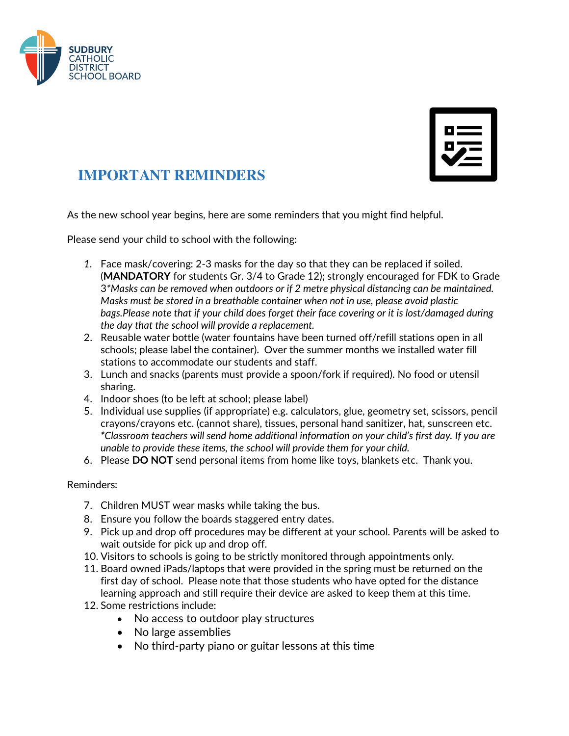

| $\overline{\phantom{a}}$ |  |
|--------------------------|--|
| П                        |  |
|                          |  |

## **IMPORTANT REMINDERS**

As the new school year begins, here are some reminders that you might find helpful.

Please send your child to school with the following:

- *1.* Face mask/covering: 2-3 masks for the day so that they can be replaced if soiled. (**MANDATORY** for students Gr. 3/4 to Grade 12); strongly encouraged for FDK to Grade 3*\*Masks can be removed when outdoors or if 2 metre physical distancing can be maintained. Masks must be stored in a breathable container when not in use, please avoid plastic bags.Please note that if your child does forget their face covering or it is lost/damaged during the day that the school will provide a replacement.*
- 2. Reusable water bottle (water fountains have been turned off/refill stations open in all schools; please label the container). Over the summer months we installed water fill stations to accommodate our students and staff.
- 3. Lunch and snacks (parents must provide a spoon/fork if required). No food or utensil sharing.
- 4. Indoor shoes (to be left at school; please label)
- 5. Individual use supplies (if appropriate) e.g. calculators, glue, geometry set, scissors, pencil crayons/crayons etc. (cannot share), tissues, personal hand sanitizer, hat, sunscreen etc. *\*Classroom teachers will send home additional information on your child's first day. If you are unable to provide these items, the school will provide them for your child.*
- 6. Please **DO NOT** send personal items from home like toys, blankets etc. Thank you.

## Reminders:

- 7. Children MUST wear masks while taking the bus.
- 8. Ensure you follow the boards staggered entry dates.
- 9. Pick up and drop off procedures may be different at your school. Parents will be asked to wait outside for pick up and drop off.
- 10. Visitors to schools is going to be strictly monitored through appointments only.
- 11. Board owned iPads/laptops that were provided in the spring must be returned on the first day of school. Please note that those students who have opted for the distance learning approach and still require their device are asked to keep them at this time.
- 12. Some restrictions include:
	- No access to outdoor play structures
	- No large assemblies
	- No third-party piano or guitar lessons at this time